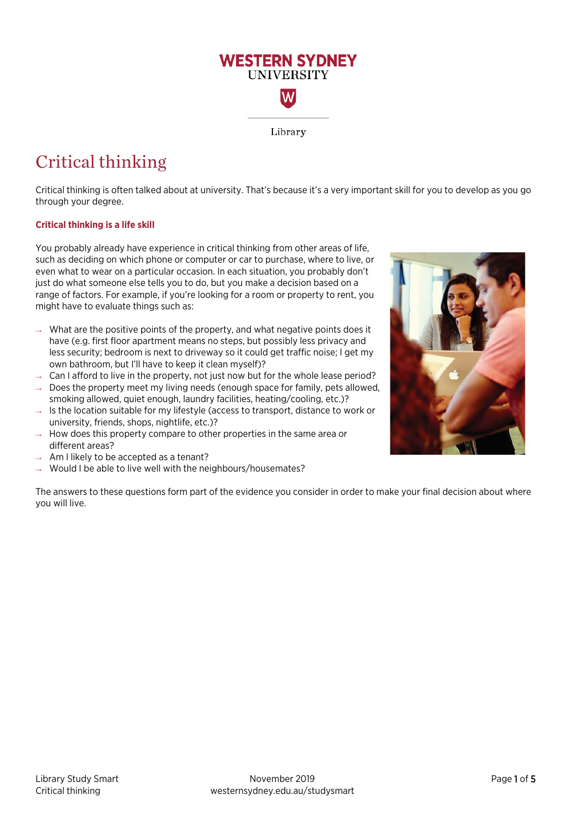

# Critical thinking

Critical thinking is often talked about at university. That's because it's a very important skill for you to develop as you go through your degree.

# **Critical thinking is a life skill**

You probably already have experience in critical thinking from other areas of life, such as deciding on which phone or computer or car to purchase, where to live, or even what to wear on a particular occasion. In each situation, you probably don't just do what someone else tells you to do, but you make a decision based on a range of factors. For example, if you're looking for a room or property to rent, you might have to evaluate things such as:

- $\rightarrow$  What are the positive points of the property, and what negative points does it have (e.g. first floor apartment means no steps, but possibly less privacy and less security; bedroom is next to driveway so it could get traffic noise; I get my own bathroom, but I'll have to keep it clean myself)?
- $\rightarrow$  Can I afford to live in the property, not just now but for the whole lease period?
- $\rightarrow$  Does the property meet my living needs (enough space for family, pets allowed, smoking allowed, quiet enough, laundry facilities, heating/cooling, etc.)?
- $\rightarrow$  Is the location suitable for my lifestyle (access to transport, distance to work or university, friends, shops, nightlife, etc.)?
- $\rightarrow$  How does this property compare to other properties in the same area or different areas?
- $\rightarrow$  Am I likely to be accepted as a tenant?
- $\rightarrow$  Would I be able to live well with the neighbours/housemates?

The answers to these questions form part of the evidence you consider in order to make your final decision about where you will live.

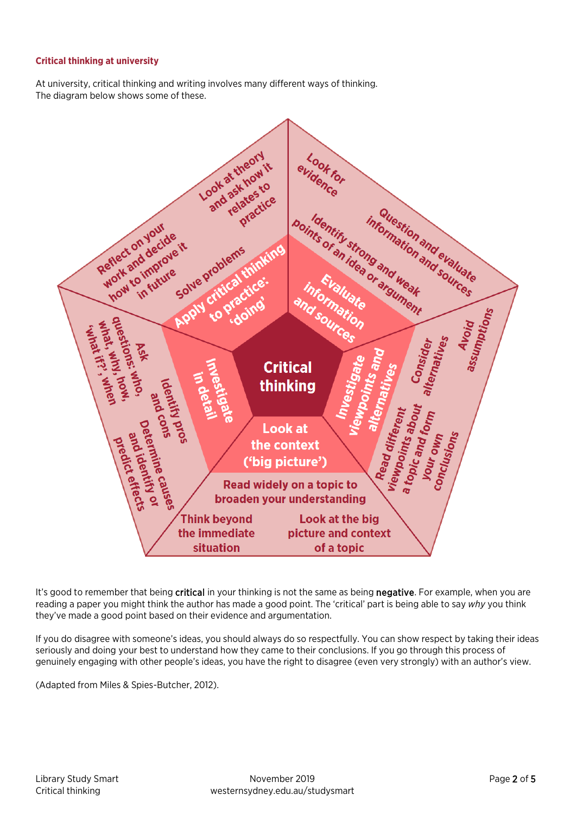# **Critical thinking at university**

At university, critical thinking and writing involves many different ways of thinking. The diagram below shows some of these.



It's good to remember that being critical in your thinking is not the same as being negative. For example, when you are reading a paper you might think the author has made a good point. The 'critical' part is being able to say *why* you think they've made a good point based on their evidence and argumentation.

If you do disagree with someone's ideas, you should always do so respectfully. You can show respect by taking their ideas seriously and doing your best to understand how they came to their conclusions. If you go through this process of genuinely engaging with other people's ideas, you have the right to disagree (even very strongly) with an author's view.

(Adapted from Miles & Spies-Butcher, 2012).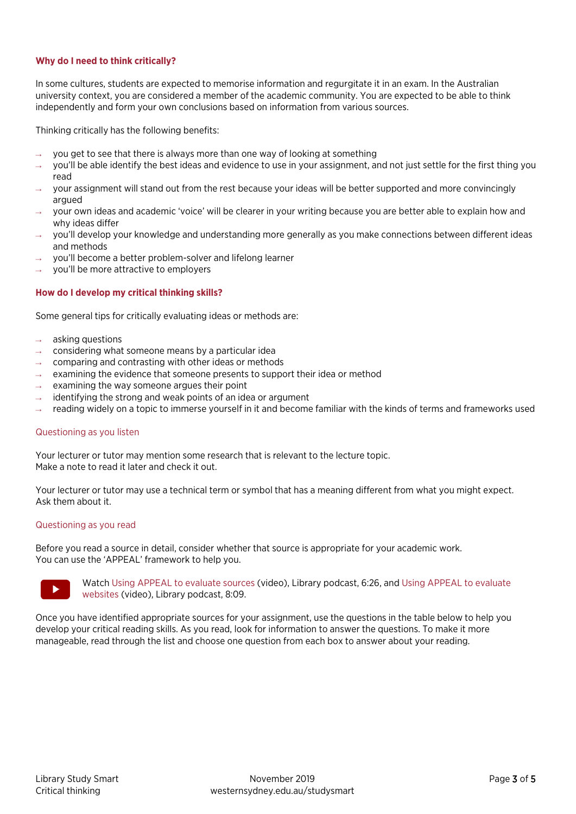# **Why do I need to think critically?**

In some cultures, students are expected to memorise information and regurgitate it in an exam. In the Australian university context, you are considered a member of the academic community. You are expected to be able to think independently and form your own conclusions based on information from various sources.

Thinking critically has the following benefits:

- you get to see that there is always more than one way of looking at something
- you'll be able identify the best ideas and evidence to use in your assignment, and not just settle for the first thing you read
- your assignment will stand out from the rest because your ideas will be better supported and more convincingly argued
- → your own ideas and academic 'voice' will be clearer in your writing because you are better able to explain how and why ideas differ
- you'll develop your knowledge and understanding more generally as you make connections between different ideas and methods
- you'll become a better problem-solver and lifelong learner
- you'll be more attractive to employers

## **How do I develop my critical thinking skills?**

Some general tips for critically evaluating ideas or methods are:

- asking questions
- considering what someone means by a particular idea
- comparing and contrasting with other ideas or methods
- examining the evidence that someone presents to support their idea or method
- examining the way someone argues their point
- identifying the strong and weak points of an idea or argument
- reading widely on a topic to immerse yourself in it and become familiar with the kinds of terms and frameworks used

#### Questioning as you listen

Your lecturer or tutor may mention some research that is relevant to the lecture topic. Make a note to read it later and check it out.

Your lecturer or tutor may use a technical term or symbol that has a meaning different from what you might expect. Ask them about it.

#### Questioning as you read

Before you read a source in detail, consider whether that source is appropriate for your academic work. You can use the 'APPEAL' framework to help you.



Watc[h Using APPEAL to evaluate sources](https://www.youtube.com/watch?v=jEsHKNZJHas) (video), Library podcast, 6:26, an[d Using APPEAL to evaluate](https://www.youtube.com/watch?v=LSvCVJ6dI_s)  [websites](https://www.youtube.com/watch?v=LSvCVJ6dI_s) (video), Library podcast, 8:09.

Once you have identified appropriate sources for your assignment, use the questions in the table below to help you develop your critical reading skills. As you read, look for information to answer the questions. To make it more manageable, read through the list and choose one question from each box to answer about your reading.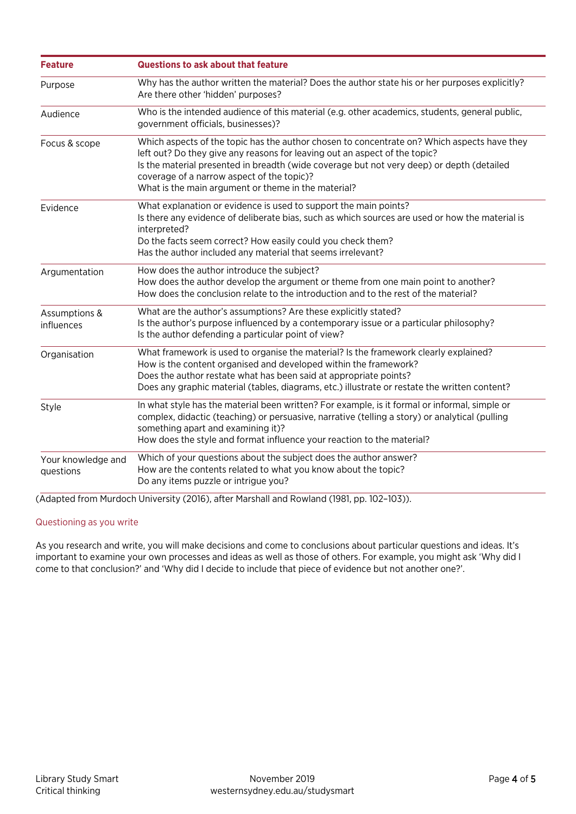| <b>Feature</b>                  | Questions to ask about that feature                                                                                                                                                                                                                                                                                                                                         |
|---------------------------------|-----------------------------------------------------------------------------------------------------------------------------------------------------------------------------------------------------------------------------------------------------------------------------------------------------------------------------------------------------------------------------|
| Purpose                         | Why has the author written the material? Does the author state his or her purposes explicitly?<br>Are there other 'hidden' purposes?                                                                                                                                                                                                                                        |
| Audience                        | Who is the intended audience of this material (e.g. other academics, students, general public,<br>government officials, businesses)?                                                                                                                                                                                                                                        |
| Focus & scope                   | Which aspects of the topic has the author chosen to concentrate on? Which aspects have they<br>left out? Do they give any reasons for leaving out an aspect of the topic?<br>Is the material presented in breadth (wide coverage but not very deep) or depth (detailed<br>coverage of a narrow aspect of the topic)?<br>What is the main argument or theme in the material? |
| Evidence                        | What explanation or evidence is used to support the main points?<br>Is there any evidence of deliberate bias, such as which sources are used or how the material is<br>interpreted?<br>Do the facts seem correct? How easily could you check them?<br>Has the author included any material that seems irrelevant?                                                           |
| Argumentation                   | How does the author introduce the subject?<br>How does the author develop the argument or theme from one main point to another?<br>How does the conclusion relate to the introduction and to the rest of the material?                                                                                                                                                      |
| Assumptions &<br>influences     | What are the author's assumptions? Are these explicitly stated?<br>Is the author's purpose influenced by a contemporary issue or a particular philosophy?<br>Is the author defending a particular point of view?                                                                                                                                                            |
| Organisation                    | What framework is used to organise the material? Is the framework clearly explained?<br>How is the content organised and developed within the framework?<br>Does the author restate what has been said at appropriate points?<br>Does any graphic material (tables, diagrams, etc.) illustrate or restate the written content?                                              |
| Style                           | In what style has the material been written? For example, is it formal or informal, simple or<br>complex, didactic (teaching) or persuasive, narrative (telling a story) or analytical (pulling<br>something apart and examining it)?<br>How does the style and format influence your reaction to the material?                                                             |
| Your knowledge and<br>questions | Which of your questions about the subject does the author answer?<br>How are the contents related to what you know about the topic?<br>Do any items puzzle or intrigue you?                                                                                                                                                                                                 |

(Adapted from Murdoch University (2016), after Marshall and Rowland (1981, pp. 102–103)).

# Questioning as you write

As you research and write, you will make decisions and come to conclusions about particular questions and ideas. It's important to examine your own processes and ideas as well as those of others. For example, you might ask 'Why did I come to that conclusion?' and 'Why did I decide to include that piece of evidence but not another one?'.